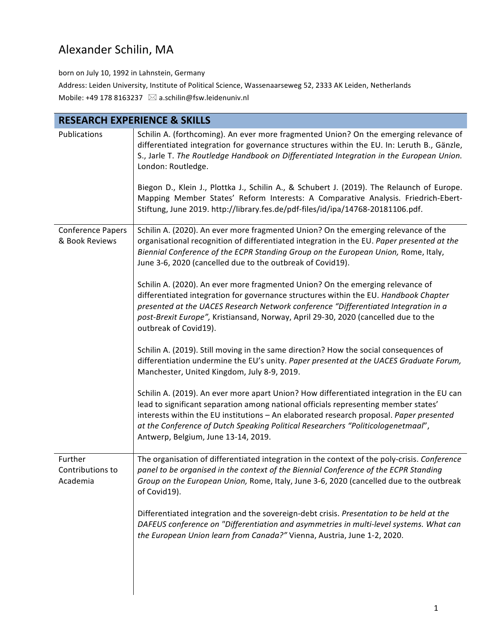## Alexander Schilin, MA

born on July 10, 1992 in Lahnstein, Germany Address: Leiden University, Institute of Political Science, Wassenaarseweg 52, 2333 AK Leiden, Netherlands Mobile: +49 178 8163237  $\bowtie$  a.schilin@fsw.leidenuniv.nl

| <b>RESEARCH EXPERIENCE &amp; SKILLS</b>    |                                                                                                                                                                                                                                                                                                                                                                                                        |  |
|--------------------------------------------|--------------------------------------------------------------------------------------------------------------------------------------------------------------------------------------------------------------------------------------------------------------------------------------------------------------------------------------------------------------------------------------------------------|--|
| Publications                               | Schilin A. (forthcoming). An ever more fragmented Union? On the emerging relevance of<br>differentiated integration for governance structures within the EU. In: Leruth B., Gänzle,<br>S., Jarle T. The Routledge Handbook on Differentiated Integration in the European Union.<br>London: Routledge.                                                                                                  |  |
|                                            | Biegon D., Klein J., Plottka J., Schilin A., & Schubert J. (2019). The Relaunch of Europe.<br>Mapping Member States' Reform Interests: A Comparative Analysis. Friedrich-Ebert-<br>Stiftung, June 2019. http://library.fes.de/pdf-files/id/ipa/14768-20181106.pdf.                                                                                                                                     |  |
| <b>Conference Papers</b><br>& Book Reviews | Schilin A. (2020). An ever more fragmented Union? On the emerging relevance of the<br>organisational recognition of differentiated integration in the EU. Paper presented at the<br>Biennial Conference of the ECPR Standing Group on the European Union, Rome, Italy,<br>June 3-6, 2020 (cancelled due to the outbreak of Covid19).                                                                   |  |
|                                            | Schilin A. (2020). An ever more fragmented Union? On the emerging relevance of<br>differentiated integration for governance structures within the EU. Handbook Chapter<br>presented at the UACES Research Network conference "Differentiated Integration in a<br>post-Brexit Europe", Kristiansand, Norway, April 29-30, 2020 (cancelled due to the<br>outbreak of Covid19).                           |  |
|                                            | Schilin A. (2019). Still moving in the same direction? How the social consequences of<br>differentiation undermine the EU's unity. Paper presented at the UACES Graduate Forum,<br>Manchester, United Kingdom, July 8-9, 2019.                                                                                                                                                                         |  |
|                                            | Schilin A. (2019). An ever more apart Union? How differentiated integration in the EU can<br>lead to significant separation among national officials representing member states'<br>interests within the EU institutions - An elaborated research proposal. Paper presented<br>at the Conference of Dutch Speaking Political Researchers "Politicologenetmaal",<br>Antwerp, Belgium, June 13-14, 2019. |  |
| Further<br>Contributions to<br>Academia    | The organisation of differentiated integration in the context of the poly-crisis. Conference<br>panel to be organised in the context of the Biennial Conference of the ECPR Standing<br>Group on the European Union, Rome, Italy, June 3-6, 2020 (cancelled due to the outbreak<br>of Covid19).                                                                                                        |  |
|                                            | Differentiated integration and the sovereign-debt crisis. Presentation to be held at the<br>DAFEUS conference on "Differentiation and asymmetries in multi-level systems. What can<br>the European Union learn from Canada?" Vienna, Austria, June 1-2, 2020.                                                                                                                                          |  |
|                                            |                                                                                                                                                                                                                                                                                                                                                                                                        |  |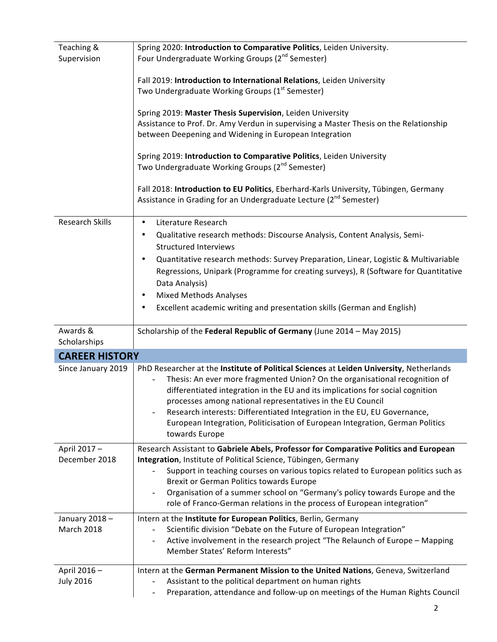| Teaching &             | Spring 2020: Introduction to Comparative Politics, Leiden University.                                                                                                  |
|------------------------|------------------------------------------------------------------------------------------------------------------------------------------------------------------------|
| Supervision            | Four Undergraduate Working Groups (2 <sup>nd</sup> Semester)                                                                                                           |
|                        |                                                                                                                                                                        |
|                        | Fall 2019: Introduction to International Relations, Leiden University                                                                                                  |
|                        | Two Undergraduate Working Groups (1 <sup>st</sup> Semester)                                                                                                            |
|                        |                                                                                                                                                                        |
|                        | Spring 2019: Master Thesis Supervision, Leiden University                                                                                                              |
|                        | Assistance to Prof. Dr. Amy Verdun in supervising a Master Thesis on the Relationship                                                                                  |
|                        | between Deepening and Widening in European Integration                                                                                                                 |
|                        | Spring 2019: Introduction to Comparative Politics, Leiden University                                                                                                   |
|                        | Two Undergraduate Working Groups (2 <sup>nd</sup> Semester)                                                                                                            |
|                        |                                                                                                                                                                        |
|                        | Fall 2018: Introduction to EU Politics, Eberhard-Karls University, Tübingen, Germany                                                                                   |
|                        | Assistance in Grading for an Undergraduate Lecture (2 <sup>nd</sup> Semester)                                                                                          |
|                        |                                                                                                                                                                        |
| <b>Research Skills</b> | Literature Research<br>$\bullet$                                                                                                                                       |
|                        | Qualitative research methods: Discourse Analysis, Content Analysis, Semi-<br>٠                                                                                         |
|                        | <b>Structured Interviews</b>                                                                                                                                           |
|                        | Quantitative research methods: Survey Preparation, Linear, Logistic & Multivariable                                                                                    |
|                        | Regressions, Unipark (Programme for creating surveys), R (Software for Quantitative                                                                                    |
|                        | Data Analysis)                                                                                                                                                         |
|                        | <b>Mixed Methods Analyses</b><br>$\bullet$                                                                                                                             |
|                        | Excellent academic writing and presentation skills (German and English)<br>٠                                                                                           |
|                        |                                                                                                                                                                        |
|                        |                                                                                                                                                                        |
| Awards &               |                                                                                                                                                                        |
| Scholarships           | Scholarship of the Federal Republic of Germany (June 2014 - May 2015)                                                                                                  |
|                        |                                                                                                                                                                        |
| <b>CAREER HISTORY</b>  |                                                                                                                                                                        |
| Since January 2019     | PhD Researcher at the Institute of Political Sciences at Leiden University, Netherlands<br>Thesis: An ever more fragmented Union? On the organisational recognition of |
|                        | differentiated integration in the EU and its implications for social cognition                                                                                         |
|                        | processes among national representatives in the EU Council                                                                                                             |
|                        | Research interests: Differentiated Integration in the EU, EU Governance,                                                                                               |
|                        | European Integration, Politicisation of European Integration, German Politics                                                                                          |
|                        | towards Europe                                                                                                                                                         |
| April 2017-            | Research Assistant to Gabriele Abels, Professor for Comparative Politics and European                                                                                  |
| December 2018          | Integration, Institute of Political Science, Tübingen, Germany                                                                                                         |
|                        | Support in teaching courses on various topics related to European politics such as                                                                                     |
|                        | Brexit or German Politics towards Europe                                                                                                                               |
|                        | Organisation of a summer school on "Germany's policy towards Europe and the                                                                                            |
|                        | role of Franco-German relations in the process of European integration"                                                                                                |
| January 2018-          | Intern at the Institute for European Politics, Berlin, Germany                                                                                                         |
| <b>March 2018</b>      | Scientific division "Debate on the Future of European Integration"                                                                                                     |
|                        | Active involvement in the research project "The Relaunch of Europe - Mapping<br>۰                                                                                      |
|                        | Member States' Reform Interests"                                                                                                                                       |
|                        |                                                                                                                                                                        |
| April 2016-            | Intern at the German Permanent Mission to the United Nations, Geneva, Switzerland                                                                                      |
| <b>July 2016</b>       | Assistant to the political department on human rights<br>Preparation, attendance and follow-up on meetings of the Human Rights Council                                 |